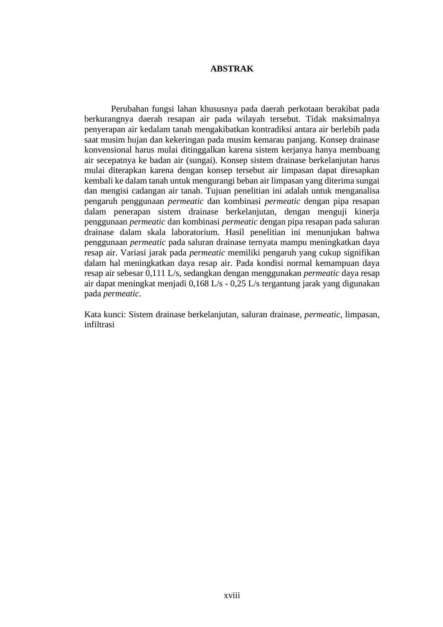## **ABSTRAK**

Perubahan fungsi lahan khususnya pada daerah perkotaan berakibat pada berkurangnya daerah resapan air pada wilayah tersebut. Tidak maksimalnya penyerapan air kedalam tanah mengakibatkan kontradiksi antara air berlebih pada saat musim hujan dan kekeringan pada musim kemarau panjang. Konsep drainase konvensional harus mulai ditinggalkan karena sistem kerjanya hanya membuang air secepatnya ke badan air (sungai). Konsep sistem drainase berkelanjutan harus mulai diterapkan karena dengan konsep tersebut air limpasan dapat diresapkan kembali ke dalam tanah untuk mengurangi beban air limpasan yang diterima sungai dan mengisi cadangan air tanah. Tujuan penelitian ini adalah untuk menganalisa pengaruh penggunaan *permeatic* dan kombinasi *permeatic* dengan pipa resapan dalam penerapan sistem drainase berkelanjutan, dengan menguji kinerja penggunaan *permeatic* dan kombinasi *permeatic* dengan pipa resapan pada saluran drainase dalam skala laboratorium. Hasil penelitian ini menunjukan bahwa penggunaan *permeatic* pada saluran drainase ternyata mampu meningkatkan daya resap air. Variasi jarak pada *permeatic* memiliki pengaruh yang cukup signifikan dalam hal meningkatkan daya resap air. Pada kondisi normal kemampuan daya resap air sebesar 0,111 L/s, sedangkan dengan menggunakan *permeatic* daya resap air dapat meningkat menjadi 0,168 L/s - 0,25 L/s tergantung jarak yang digunakan pada *permeatic*.

Kata kunci: Sistem drainase berkelanjutan, saluran drainase, *permeatic,* limpasan, infiltrasi